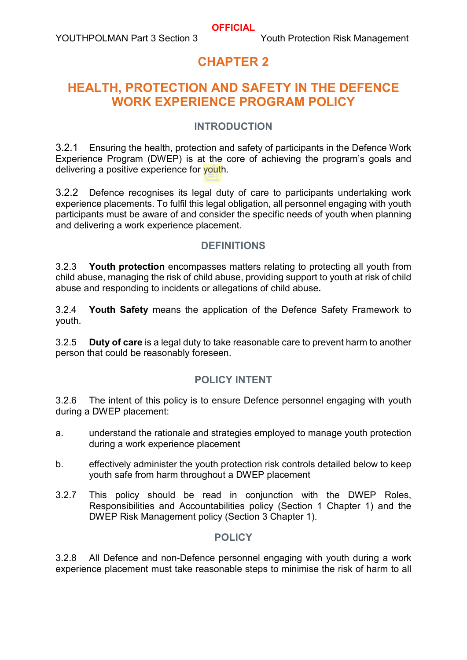# **CHAPTER 2**

# **HEALTH, PROTECTION AND SAFETY IN THE DEFENCE WORK EXPERIENCE PROGRAM POLICY**

### **INTRODUCTION**

3.2.1 Ensuring the health, protection and safety of participants in the Defence Work Experience Program (DWEP) is at the core of achieving the program's goals and delivering a positive experience for youth.

3.2.2 Defence recognises its legal duty of care to participants undertaking work experience placements. To fulfil this legal obligation, all personnel engaging with youth participants must be aware of and consider the specific needs of youth when planning and delivering a work experience placement.

#### **DEFINITIONS**

3.2.3 **Youth protection** encompasses matters relating to protecting all youth from child abuse, managing the risk of child abuse, providing support to youth at risk of child abuse and responding to incidents or allegations of child abuse**.**

3.2.4 **Youth Safety** means the application of the Defence Safety Framework to youth.

3.2.5 **Duty of care** is a legal duty to take reasonable care to prevent harm to another person that could be reasonably foreseen.

# **POLICY INTENT**

3.2.6 The intent of this policy is to ensure Defence personnel engaging with youth during a DWEP placement:

- a. understand the rationale and strategies employed to manage youth protection during a work experience placement
- b. effectively administer the youth protection risk controls detailed below to keep youth safe from harm throughout a DWEP placement
- 3.2.7 This policy should be read in conjunction with the DWEP Roles, Responsibilities and Accountabilities policy (Section 1 Chapter 1) and the DWEP Risk Management policy (Section 3 Chapter 1).

#### **POLICY**

3.2.8 All Defence and non-Defence personnel engaging with youth during a work experience placement must take reasonable steps to minimise the risk of harm to all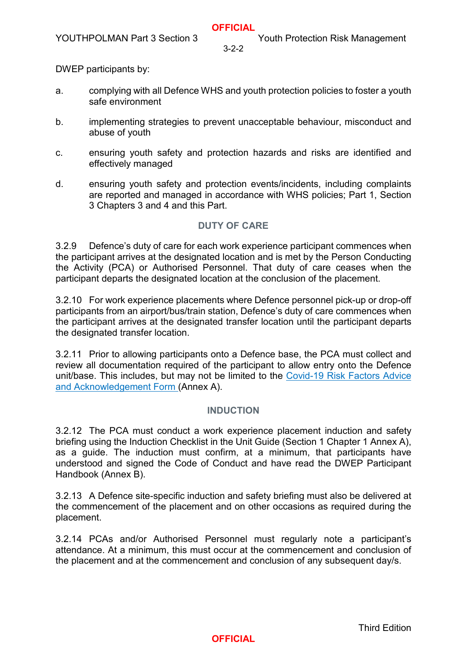DWEP participants by:

- a. complying with all Defence WHS and youth protection policies to foster a youth safe environment
- b. implementing strategies to prevent unacceptable behaviour, misconduct and abuse of youth
- c. ensuring youth safety and protection hazards and risks are identified and effectively managed
- d. ensuring youth safety and protection events/incidents, including complaints are reported and managed in accordance with WHS policies; Part 1, Section 3 Chapters 3 and 4 and this Part.

# **DUTY OF CARE**

3.2.9 Defence's duty of care for each work experience participant commences when the participant arrives at the designated location and is met by the Person Conducting the Activity (PCA) or Authorised Personnel. That duty of care ceases when the participant departs the designated location at the conclusion of the placement.

3.2.10 For work experience placements where Defence personnel pick-up or drop-off participants from an airport/bus/train station, Defence's duty of care commences when the participant arrives at the designated transfer location until the participant departs the designated transfer location.

3.2.11 Prior to allowing participants onto a Defence base, the PCA must collect and review all documentation required of the participant to allow entry onto the Defence unit/base. This includes, but may not be limited to the Covid-19 Risk Factors Advice and Acknowledgement Form (Annex A).

#### **INDUCTION**

3.2.12 The PCA must conduct a work experience placement induction and safety briefing using the Induction Checklist in the Unit Guide (Section 1 Chapter 1 Annex A), as a guide. The induction must confirm, at a minimum, that participants have understood and signed the Code of Conduct and have read the DWEP Participant Handbook (Annex B).

3.2.13 A Defence site-specific induction and safety briefing must also be delivered at the commencement of the placement and on other occasions as required during the placement.

3.2.14 PCAs and/or Authorised Personnel must regularly note a participant's attendance. At a minimum, this must occur at the commencement and conclusion of the placement and at the commencement and conclusion of any subsequent day/s.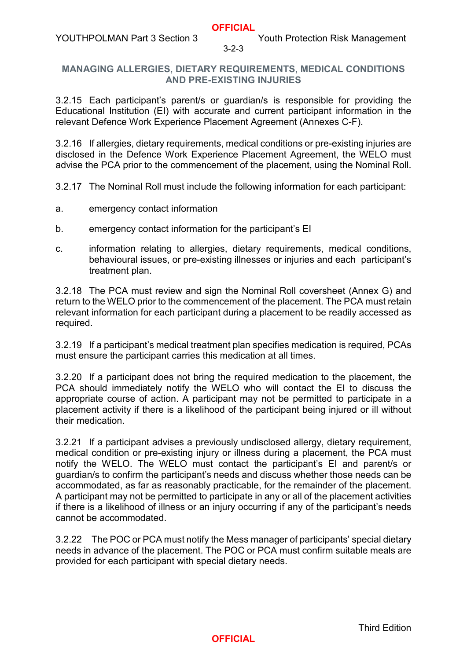#### **MANAGING ALLERGIES, DIETARY REQUIREMENTS, MEDICAL CONDITIONS AND PRE-EXISTING INJURIES**

3.2.15 Each participant's parent/s or guardian/s is responsible for providing the Educational Institution (EI) with accurate and current participant information in the relevant Defence Work Experience Placement Agreement (Annexes C-F).

3.2.16 If allergies, dietary requirements, medical conditions or pre-existing injuries are disclosed in the Defence Work Experience Placement Agreement, the WELO must advise the PCA prior to the commencement of the placement, using the Nominal Roll.

- 3.2.17 The Nominal Roll must include the following information for each participant:
- a. emergency contact information
- b. emergency contact information for the participant's EI
- c. information relating to allergies, dietary requirements, medical conditions, behavioural issues, or pre-existing illnesses or injuries and each participant's treatment plan.

3.2.18 The PCA must review and sign the Nominal Roll coversheet (Annex G) and return to the WELO prior to the commencement of the placement. The PCA must retain relevant information for each participant during a placement to be readily accessed as required.

3.2.19 If a participant's medical treatment plan specifies medication is required, PCAs must ensure the participant carries this medication at all times.

3.2.20 If a participant does not bring the required medication to the placement, the PCA should immediately notify the WELO who will contact the EI to discuss the appropriate course of action. A participant may not be permitted to participate in a placement activity if there is a likelihood of the participant being injured or ill without their medication.

3.2.21 If a participant advises a previously undisclosed allergy, dietary requirement, medical condition or pre-existing injury or illness during a placement, the PCA must notify the WELO. The WELO must contact the participant's EI and parent/s or guardian/s to confirm the participant's needs and discuss whether those needs can be accommodated, as far as reasonably practicable, for the remainder of the placement. A participant may not be permitted to participate in any or all of the placement activities if there is a likelihood of illness or an injury occurring if any of the participant's needs cannot be accommodated.

3.2.22 The POC or PCA must notify the Mess manager of participants' special dietary needs in advance of the placement. The POC or PCA must confirm suitable meals are provided for each participant with special dietary needs.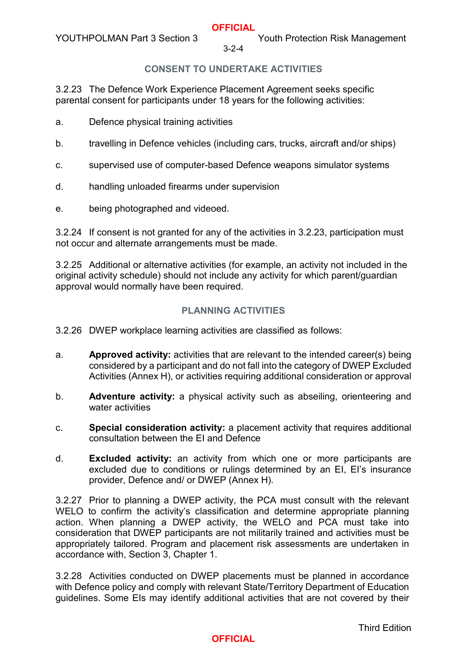## **CONSENT TO UNDERTAKE ACTIVITIES**

3.2.23 The Defence Work Experience Placement Agreement seeks specific parental consent for participants under 18 years for the following activities:

- a. Defence physical training activities
- b. travelling in Defence vehicles (including cars, trucks, aircraft and/or ships)
- c. supervised use of computer-based Defence weapons simulator systems
- d. handling unloaded firearms under supervision
- e. being photographed and videoed.

3.2.24 If consent is not granted for any of the activities in 3.2.23, participation must not occur and alternate arrangements must be made.

3.2.25 Additional or alternative activities (for example, an activity not included in the original activity schedule) should not include any activity for which parent/guardian approval would normally have been required.

#### **PLANNING ACTIVITIES**

3.2.26 DWEP workplace learning activities are classified as follows:

- a. **Approved activity:** activities that are relevant to the intended career(s) being considered by a participant and do not fall into the category of DWEP Excluded Activities (Annex H), or activities requiring additional consideration or approval
- b. **Adventure activity:** a physical activity such as abseiling, orienteering and water activities
- c. **Special consideration activity:** a placement activity that requires additional consultation between the EI and Defence
- d. **Excluded activity:** an activity from which one or more participants are excluded due to conditions or rulings determined by an EI, EI's insurance provider, Defence and/ or DWEP (Annex H).

3.2.27 Prior to planning a DWEP activity, the PCA must consult with the relevant WELO to confirm the activity's classification and determine appropriate planning action. When planning a DWEP activity, the WELO and PCA must take into consideration that DWEP participants are not militarily trained and activities must be appropriately tailored. Program and placement risk assessments are undertaken in accordance with, Section 3, Chapter 1.

3.2.28 Activities conducted on DWEP placements must be planned in accordance with Defence policy and comply with relevant State/Territory Department of Education guidelines. Some EIs may identify additional activities that are not covered by their

Third Edition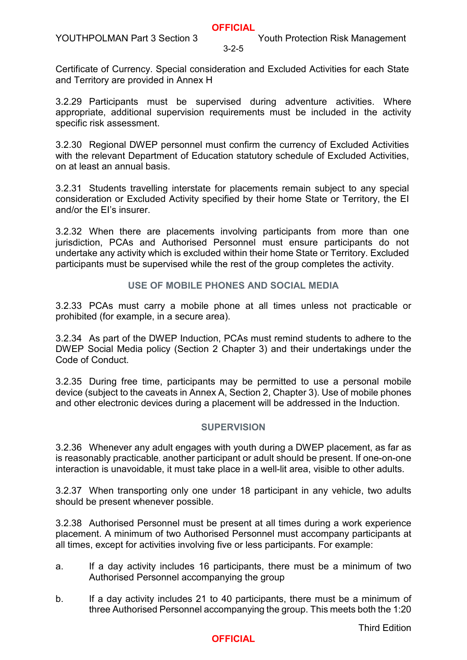Certificate of Currency. Special consideration and Excluded Activities for each State and Territory are provided in Annex H

3.2.29 Participants must be supervised during adventure activities. Where appropriate, additional supervision requirements must be included in the activity specific risk assessment.

3.2.30 Regional DWEP personnel must confirm the currency of Excluded Activities with the relevant Department of Education statutory schedule of Excluded Activities, on at least an annual basis.

3.2.31 Students travelling interstate for placements remain subject to any special consideration or Excluded Activity specified by their home State or Territory, the EI and/or the EI's insurer.

3.2.32 When there are placements involving participants from more than one jurisdiction, PCAs and Authorised Personnel must ensure participants do not undertake any activity which is excluded within their home State or Territory. Excluded participants must be supervised while the rest of the group completes the activity.

## **USE OF MOBILE PHONES AND SOCIAL MEDIA**

3.2.33 PCAs must carry a mobile phone at all times unless not practicable or prohibited (for example, in a secure area).

3.2.34 As part of the DWEP Induction, PCAs must remind students to adhere to the DWEP Social Media policy (Section 2 Chapter 3) and their undertakings under the Code of Conduct.

3.2.35 During free time, participants may be permitted to use a personal mobile device (subject to the caveats in Annex A, Section 2, Chapter 3). Use of mobile phones and other electronic devices during a placement will be addressed in the Induction.

#### **SUPERVISION**

3.2.36 Whenever any adult engages with youth during a DWEP placement, as far as is reasonably practicable, another participant or adult should be present. If one-on-one interaction is unavoidable, it must take place in a well-lit area, visible to other adults.

3.2.37 When transporting only one under 18 participant in any vehicle, two adults should be present whenever possible.

3.2.38 Authorised Personnel must be present at all times during a work experience placement. A minimum of two Authorised Personnel must accompany participants at all times, except for activities involving five or less participants. For example:

- a. If a day activity includes 16 participants, there must be a minimum of two Authorised Personnel accompanying the group
- b. If a day activity includes 21 to 40 participants, there must be a minimum of three Authorised Personnel accompanying the group. This meets both the 1:20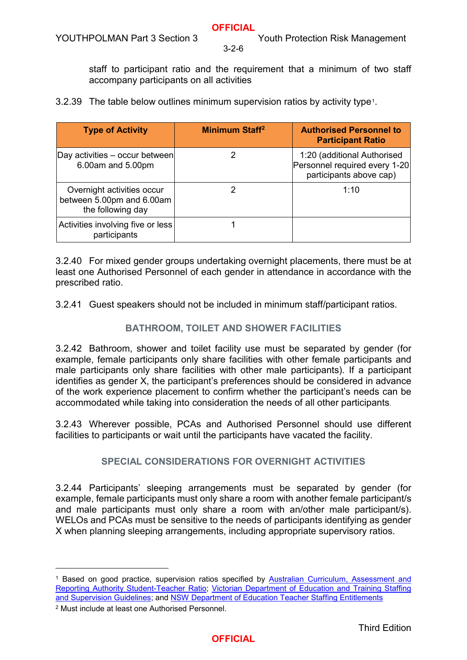staff to participant ratio and the requirement that a minimum of two staff accompany participants on all activities

3.2.39 The table below outlines minimum supervision ratios by activity type[1.](#page-5-0)

| <b>Type of Activity</b>                                                      | Minimum Staff <sup>2</sup> | <b>Authorised Personnel to</b><br><b>Participant Ratio</b>                              |
|------------------------------------------------------------------------------|----------------------------|-----------------------------------------------------------------------------------------|
| $\vert$ Day activities – occur between<br>6.00am and 5.00pm                  |                            | 1:20 (additional Authorised<br>Personnel required every 1-20<br>participants above cap) |
| Overnight activities occur<br>between 5.00pm and 6.00am<br>the following day |                            | 1:10                                                                                    |
| Activities involving five or less<br>participants                            |                            |                                                                                         |

3.2.40 For mixed gender groups undertaking overnight placements, there must be at least one Authorised Personnel of each gender in attendance in accordance with the prescribed ratio.

3.2.41 Guest speakers should not be included in minimum staff/participant ratios.

## **BATHROOM, TOILET AND SHOWER FACILITIES**

3.2.42 Bathroom, shower and toilet facility use must be separated by gender (for example, female participants only share facilities with other female participants and male participants only share facilities with other male participants). If a participant identifies as gender X, the participant's preferences should be considered in advance of the work experience placement to confirm whether the participant's needs can be accommodated while taking into consideration the needs of all other participants.

3.2.43 Wherever possible, PCAs and Authorised Personnel should use different facilities to participants or wait until the participants have vacated the facility.

#### **SPECIAL CONSIDERATIONS FOR OVERNIGHT ACTIVITIES**

3.2.44 Participants' sleeping arrangements must be separated by gender (for example, female participants must only share a room with another female participant/s and male participants must only share a room with an/other male participant/s). WELOs and PCAs must be sensitive to the needs of participants identifying as gender X when planning sleeping arrangements, including appropriate supervisory ratios.

-

<span id="page-5-0"></span><sup>&</sup>lt;sup>1</sup> Based on good practice, supervision ratios specified by Australian Curriculum, Assessment and [Reporting Authority Student-Teacher Ratio;](https://www.acara.edu.au/reporting/national-report-on-schooling-in-australia/national-report-on-schooling-in-australia-data-portal/student-teacher-ratios) [Victorian Department of Education and Training Staffing](https://www.education.vic.gov.au/school/principals/spag/safety/Pages/staffing.aspx)  [and Supervision Guidelines;](https://www.education.vic.gov.au/school/principals/spag/safety/Pages/staffing.aspx) and [NSW Department of Education Teacher Staffing Entitlements](https://www.teach.nsw.edu.au/documents/staffingformulaeguidelines.pdf)

<span id="page-5-1"></span><sup>2</sup> Must include at least one Authorised Personnel.